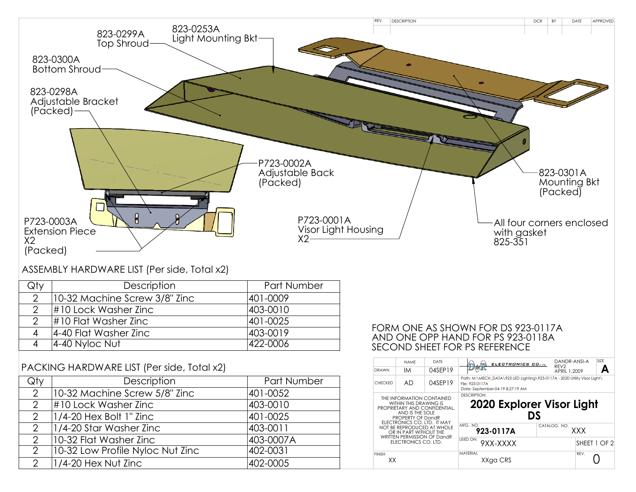

## ASSEMBLY HARDWARE LIST (Per side, Total x2)

| VIV           | Description                   | Part Number |
|---------------|-------------------------------|-------------|
| $\mathcal{D}$ | 10-32 Machine Screw 3/8" Zinc | 401-0009    |
| ာ             | #10 Lock Washer Zinc          | 403-0010    |
| ⌒             | $\#10$ Flat Washer Zinc       | 401-0025    |
| 4             | 4-40 Flat Washer Zinc         | 403-0019    |
|               | $ 4-40$ Nyloc Nut             | 422-0006    |

## PACKING HARDWARE LIST (Per side, Total x2)

| Qty           | Description                      | Part Number |  |
|---------------|----------------------------------|-------------|--|
| $\mathcal{P}$ | 10-32 Machine Screw 5/8" Zinc    | 401-0052    |  |
| $\mathcal{P}$ | #10 Lock Washer Zinc             | 403-0010    |  |
| $\mathcal{P}$ | $ 1/4$ -20 Hex Bolt 1" Zinc      | 401-0025    |  |
| 2             | 1/4-20 Star Washer Zinc          | 403-0011    |  |
| $\mathcal{P}$ | 10-32 Flat Washer Zinc           | 403-0007A   |  |
| $\mathcal{P}$ | 10-32 Low Profile Nyloc Nut Zinc | 402-0031    |  |
| $\mathcal{P}$ | $1/4$ -20 Hex Nut Zinc           | 402-0005    |  |

## FORM ONE AS SHOWN FOR DS 923-0117A AND ONE OPP HAND FOR PS 923-0118A SECOND SHEET FOR PS REFERENCE

| DRAWN                                                                                                                                                                                                                                                                      | <b>NAMF</b><br>ΙM | DATF<br>04SEP19 | ELECTRONICS CO.m                                                                                                                 | DANDR-ANSI-A<br>RFV <sub>2</sub><br>APRIL 1.2009 | SI7F         |  |  |
|----------------------------------------------------------------------------------------------------------------------------------------------------------------------------------------------------------------------------------------------------------------------------|-------------------|-----------------|----------------------------------------------------------------------------------------------------------------------------------|--------------------------------------------------|--------------|--|--|
| <b>CHECKED</b>                                                                                                                                                                                                                                                             | AD.               | 04SFP19         | Path: M:\MECH_DATA\923 LED Lighting\923-0117A - 2020 Utility Visor Light\<br>File: 923-0117A<br>Date: September-04-19 8:27:19 AM |                                                  |              |  |  |
| THE INFORMATION CONTAINED<br>WITHIN THIS DRAWING IS<br>PROPRIFTARY AND CONFIDENTIAL.<br>AND IS THE SOLE<br>PROPERTY OF DandR<br>ELECTRONICS CO. LTD. IT MAY<br>NOT BE REPRODUCED AT WHOLE<br>OR IN PART WITHOUT THE<br>WRITTEN PERMISSION OF DandR<br>FLECTRONICS CO. LTD. |                   |                 | <b>DESCRIPTION:</b><br>2020 Explorer Visor Light<br>DS                                                                           |                                                  |              |  |  |
|                                                                                                                                                                                                                                                                            |                   |                 | MFG. NO.<br>923-0117A                                                                                                            | CATALOG, NO.                                     | XXX          |  |  |
|                                                                                                                                                                                                                                                                            |                   |                 | USED ON:<br>9XX-XXXX                                                                                                             |                                                  | SHEET 1 OF 2 |  |  |
| <b>FINISH</b><br>XХ                                                                                                                                                                                                                                                        |                   |                 | <b>MATFRIAL</b><br>XXga CRS                                                                                                      |                                                  | RFV.         |  |  |